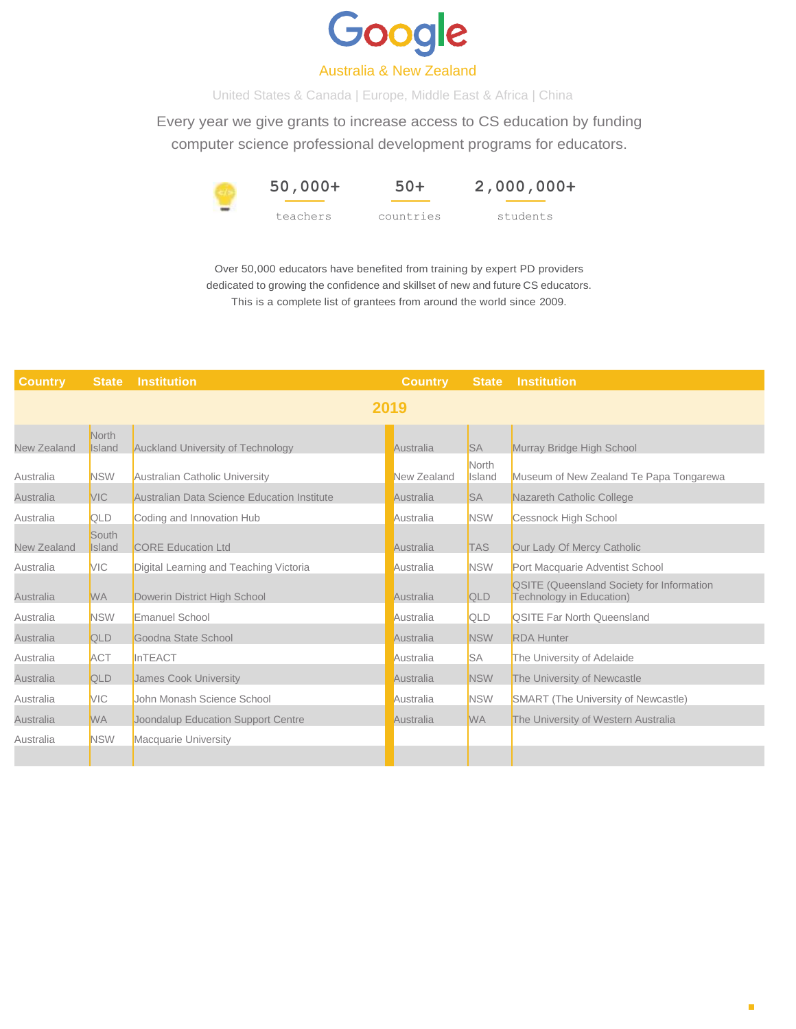

## Australia & New Zealand

United States & Canada | Europe, Middle East & Africa | China

Every year we give grants to increase access to CS education by funding computer science professional development programs for educators.



**2,000,000+**

students

Over 50,000 educators have benefited from training by expert PD providers dedicated to growing the confidence and skillset of new and future CS educators. This is a complete list of grantees from around the world since 2009.

| <b>Country</b> | <b>State</b>    | <b>Institution</b>                          | <b>Country</b> | <b>State</b>    | Institution                                                                  |  |  |
|----------------|-----------------|---------------------------------------------|----------------|-----------------|------------------------------------------------------------------------------|--|--|
| 2019           |                 |                                             |                |                 |                                                                              |  |  |
| New Zealand    | North<br>Island | <b>Auckland University of Technology</b>    | Australia      | <b>SA</b>       | Murray Bridge High School                                                    |  |  |
| Australia      | <b>NSW</b>      | Australian Catholic University              | New Zealand    | North<br>Island | Museum of New Zealand Te Papa Tongarewa                                      |  |  |
| Australia      | <b>VIC</b>      | Australian Data Science Education Institute | Australia      | <b>SA</b>       | Nazareth Catholic College                                                    |  |  |
| Australia      | QLD             | Coding and Innovation Hub                   | Australia      | <b>NSW</b>      | <b>Cessnock High School</b>                                                  |  |  |
| New Zealand    | South<br>Island | <b>CORE Education Ltd</b>                   | Australia      | <b>TAS</b>      | Our Lady Of Mercy Catholic                                                   |  |  |
| Australia      | <b>VIC</b>      | Digital Learning and Teaching Victoria      | Australia      | <b>NSW</b>      | Port Macquarie Adventist School                                              |  |  |
| Australia      | <b>WA</b>       | Dowerin District High School                | Australia      | QLD             | <b>QSITE (Queensland Society for Information</b><br>Technology in Education) |  |  |
| Australia      | <b>NSW</b>      | Emanuel School                              | Australia      | QLD             | <b>QSITE Far North Queensland</b>                                            |  |  |
| Australia      | QLD             | Goodna State School                         | Australia      | <b>NSW</b>      | <b>RDA Hunter</b>                                                            |  |  |
| Australia      | <b>ACT</b>      | InTEACT                                     | Australia      | <b>SA</b>       | The University of Adelaide                                                   |  |  |
| Australia      | QLD             | James Cook University                       | Australia      | <b>NSW</b>      | The University of Newcastle                                                  |  |  |
| Australia      | <b>VIC</b>      | John Monash Science School                  | Australia      | <b>NSW</b>      | SMART (The University of Newcastle)                                          |  |  |
| Australia      | <b>WA</b>       | Joondalup Education Support Centre          | Australia      | <b>WA</b>       | The University of Western Australia                                          |  |  |
| Australia      | <b>NSW</b>      | <b>Macquarie University</b>                 |                |                 |                                                                              |  |  |
|                |                 |                                             |                |                 |                                                                              |  |  |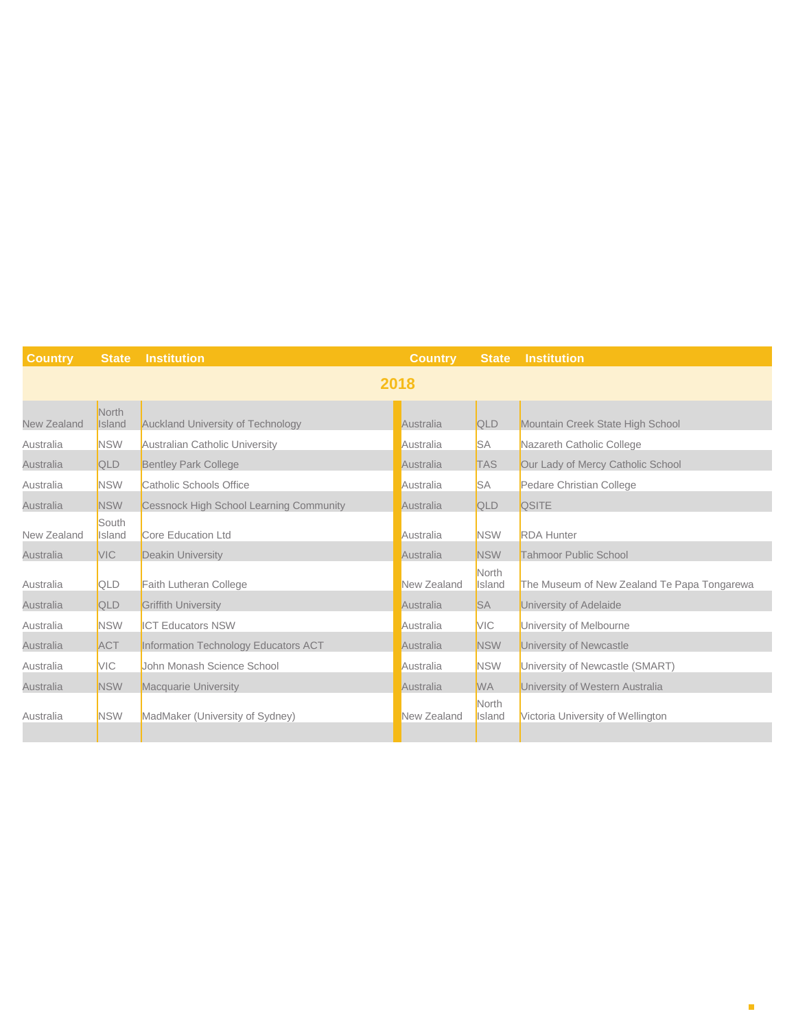| <b>Country</b> | <b>State</b>    | <b>Institution</b>                             | <b>Country</b> | <b>State</b>           | <b>Institution</b>                          |  |  |
|----------------|-----------------|------------------------------------------------|----------------|------------------------|---------------------------------------------|--|--|
| 2018           |                 |                                                |                |                        |                                             |  |  |
| New Zealand    | North<br>Island | Auckland University of Technology              | Australia      | QLD                    | Mountain Creek State High School            |  |  |
| Australia      | <b>NSW</b>      | Australian Catholic University                 | Australia      | <b>SA</b>              | Nazareth Catholic College                   |  |  |
| Australia      | QLD             | <b>Bentley Park College</b>                    | Australia      | <b>TAS</b>             | Our Lady of Mercy Catholic School           |  |  |
| Australia      | <b>NSW</b>      | Catholic Schools Office                        | Australia      | <b>SA</b>              | Pedare Christian College                    |  |  |
| Australia      | <b>NSW</b>      | <b>Cessnock High School Learning Community</b> | Australia      | QLD                    | <b>QSITE</b>                                |  |  |
| New Zealand    | South<br>Island | Core Education Ltd                             | Australia      | <b>NSW</b>             | <b>RDA Hunter</b>                           |  |  |
| Australia      | <b>VIC</b>      | <b>Deakin University</b>                       | Australia      | <b>NSW</b>             | <b>Tahmoor Public School</b>                |  |  |
| Australia      | QLD             | Faith Lutheran College                         | New Zealand    | North<br>Island        | The Museum of New Zealand Te Papa Tongarewa |  |  |
| Australia      | QLD             | <b>Griffith University</b>                     | Australia      | <b>SA</b>              | University of Adelaide                      |  |  |
| Australia      | <b>NSW</b>      | <b>ICT Educators NSW</b>                       | Australia      | <b>VIC</b>             | University of Melbourne                     |  |  |
| Australia      | <b>ACT</b>      | Information Technology Educators ACT           | Australia      | <b>NSW</b>             | University of Newcastle                     |  |  |
| Australia      | <b>VIC</b>      | John Monash Science School                     | Australia      | <b>NSW</b>             | University of Newcastle (SMART)             |  |  |
| Australia      | <b>NSW</b>      | <b>Macquarie University</b>                    | Australia      | <b>WA</b>              | University of Western Australia             |  |  |
| Australia      | <b>NSW</b>      | MadMaker (University of Sydney)                | New Zealand    | <b>North</b><br>Island | Victoria University of Wellington           |  |  |
|                |                 |                                                |                |                        |                                             |  |  |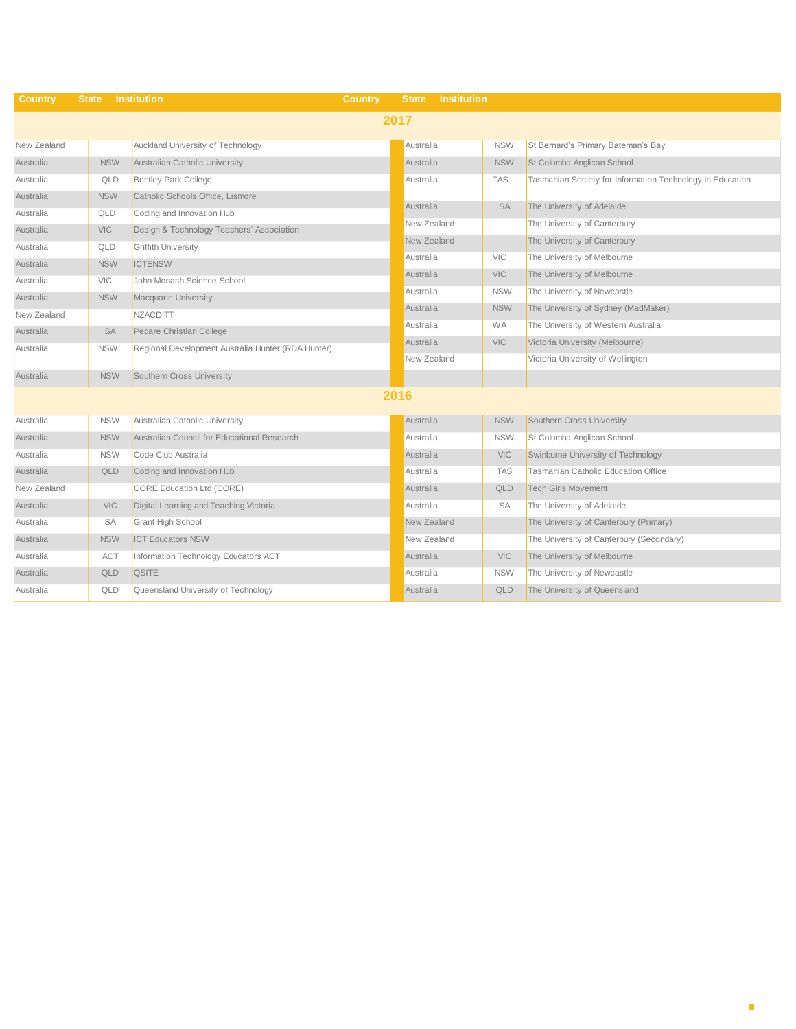| <b>Country</b> | <b>State</b> | <b>Institution</b>                                 | <b>Country</b> | <b>Institution</b><br><b>State</b> |            |                                                           |
|----------------|--------------|----------------------------------------------------|----------------|------------------------------------|------------|-----------------------------------------------------------|
| 2017           |              |                                                    |                |                                    |            |                                                           |
| New Zealand    |              | Auckland University of Technology                  |                | Australia                          | <b>NSW</b> | St Bernard's Primary Bateman's Bay                        |
| Australia      | <b>NSW</b>   | Australian Catholic University                     |                | Australia                          | <b>NSW</b> | St Columba Anglican School                                |
| Australia      | QLD          | <b>Bentley Park College</b>                        |                | Australia                          | <b>TAS</b> | Tasmanian Society for Information Technology in Education |
| Australia      | <b>NSW</b>   | Catholic Schools Office, Lismore                   |                |                                    |            |                                                           |
| Australia      | QLD          | Coding and Innovation Hub                          |                | Australia                          | <b>SA</b>  | The University of Adelaide                                |
| Australia      | VIC          | Design & Technology Teachers' Association          |                | New Zealand                        |            | The University of Canterbury                              |
| Australia      | QLD          | <b>Griffith University</b>                         |                | New Zealand                        |            | The University of Canterbury                              |
| Australia      | <b>NSW</b>   | <b>ICTENSW</b>                                     |                | Australia                          | <b>VIC</b> | The University of Melbourne                               |
| Australia      | VIC          | John Monash Science School                         |                | Australia                          | <b>VIC</b> | The University of Melbourne                               |
| Australia      | <b>NSW</b>   | <b>Macquarie University</b>                        |                | Australia                          | <b>NSW</b> | The University of Newcastle                               |
| New Zealand    |              | <b>NZACDITT</b>                                    |                | Australia                          | <b>NSW</b> | The University of Sydney (MadMaker)                       |
| Australia      | SA           | Pedare Christian College                           |                | Australia                          | <b>WA</b>  | The University of Western Australia                       |
| Australia      | <b>NSW</b>   | Regional Development Australia Hunter (RDA Hunter) |                | Australia                          | <b>VIC</b> | Victoria University (Melbourne)                           |
|                |              |                                                    |                | New Zealand                        |            | Victoria University of Wellington                         |
| Australia      | <b>NSW</b>   | Southern Cross University                          |                |                                    |            |                                                           |
| 2016           |              |                                                    |                |                                    |            |                                                           |
| Australia      | <b>NSW</b>   | Australian Catholic University                     |                | Australia                          | <b>NSW</b> | Southern Cross University                                 |
| Australia      | <b>NSW</b>   | Australian Council for Educational Research        |                | Australia                          | <b>NSW</b> | St Columba Anglican School                                |
| Australia      | <b>NSW</b>   | Code Club Australia                                |                | Australia                          | <b>VIC</b> | Swinburne University of Technology                        |
| Australia      | QLD          | Coding and Innovation Hub                          |                | Australia                          | <b>TAS</b> | <b>Tasmanian Catholic Education Office</b>                |
| New Zealand    |              | <b>CORE Education Ltd (CORE)</b>                   |                | Australia                          | QLD        | <b>Tech Girls Movement</b>                                |
| Australia      | <b>VIC</b>   | Digital Learning and Teaching Victoria             |                | Australia                          | <b>SA</b>  | The University of Adelaide                                |
| Australia      | SA           | <b>Grant High School</b>                           |                | New Zealand                        |            | The University of Canterbury (Primary)                    |
| Australia      | <b>NSW</b>   | <b>ICT Educators NSW</b>                           |                | New Zealand                        |            | The University of Canterbury (Secondary)                  |
| Australia      | <b>ACT</b>   | Information Technology Educators ACT               |                | Australia                          | <b>VIC</b> | The University of Melbourne                               |
| Australia      | QLD          | <b>QSITE</b>                                       |                | Australia                          | <b>NSW</b> | The University of Newcastle                               |
| Australia      | QLD          | Queensland University of Technology                |                | Australia                          | QLD        | The University of Queensland                              |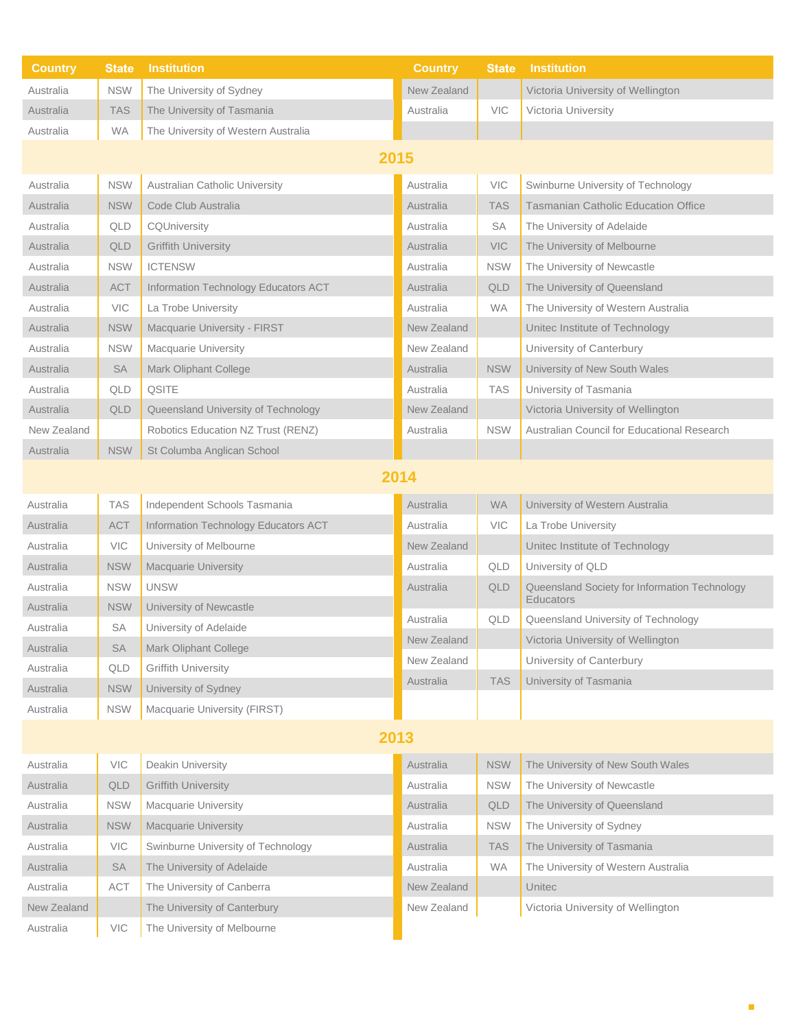| <b>Country</b> | <b>State</b> | <b>Institution</b>                   | <b>Country</b> | <b>State</b> | <b>Institution</b>                                                |  |  |
|----------------|--------------|--------------------------------------|----------------|--------------|-------------------------------------------------------------------|--|--|
| Australia      | <b>NSW</b>   | The University of Sydney             | New Zealand    |              | Victoria University of Wellington                                 |  |  |
| Australia      | <b>TAS</b>   | The University of Tasmania           | Australia      | <b>VIC</b>   | Victoria University                                               |  |  |
| Australia      | <b>WA</b>    | The University of Western Australia  |                |              |                                                                   |  |  |
| 2015           |              |                                      |                |              |                                                                   |  |  |
| Australia      | <b>NSW</b>   | Australian Catholic University       | Australia      | VIC          | Swinburne University of Technology                                |  |  |
| Australia      | <b>NSW</b>   | Code Club Australia                  | Australia      | <b>TAS</b>   | <b>Tasmanian Catholic Education Office</b>                        |  |  |
| Australia      | QLD          | CQUniversity                         | Australia      | SA           | The University of Adelaide                                        |  |  |
| Australia      | QLD          | <b>Griffith University</b>           | Australia      | <b>VIC</b>   | The University of Melbourne                                       |  |  |
| Australia      | <b>NSW</b>   | <b>ICTENSW</b>                       | Australia      | <b>NSW</b>   | The University of Newcastle                                       |  |  |
| Australia      | <b>ACT</b>   | Information Technology Educators ACT | Australia      | QLD          | The University of Queensland                                      |  |  |
| Australia      | <b>VIC</b>   | La Trobe University                  | Australia      | <b>WA</b>    | The University of Western Australia                               |  |  |
| Australia      | <b>NSW</b>   | Macquarie University - FIRST         | New Zealand    |              | Unitec Institute of Technology                                    |  |  |
| Australia      | <b>NSW</b>   | Macquarie University                 | New Zealand    |              | University of Canterbury                                          |  |  |
| Australia      | SA           | Mark Oliphant College                | Australia      | <b>NSW</b>   | University of New South Wales                                     |  |  |
| Australia      | QLD          | <b>QSITE</b>                         | Australia      | <b>TAS</b>   | University of Tasmania                                            |  |  |
| Australia      | QLD          | Queensland University of Technology  | New Zealand    |              | Victoria University of Wellington                                 |  |  |
| New Zealand    |              | Robotics Education NZ Trust (RENZ)   | Australia      | <b>NSW</b>   | Australian Council for Educational Research                       |  |  |
| Australia      | <b>NSW</b>   | St Columba Anglican School           |                |              |                                                                   |  |  |
| 2014           |              |                                      |                |              |                                                                   |  |  |
| Australia      | <b>TAS</b>   | Independent Schools Tasmania         | Australia      | <b>WA</b>    | University of Western Australia                                   |  |  |
| Australia      | <b>ACT</b>   | Information Technology Educators ACT | Australia      | <b>VIC</b>   | La Trobe University                                               |  |  |
| Australia      | <b>VIC</b>   | University of Melbourne              | New Zealand    |              | Unitec Institute of Technology                                    |  |  |
| Australia      | <b>NSW</b>   | <b>Macquarie University</b>          | Australia      | QLD          | University of QLD                                                 |  |  |
| Australia      | <b>NSW</b>   | <b>UNSW</b>                          | Australia      | QLD          | Queensland Society for Information Technology<br><b>Educators</b> |  |  |
| Australia      | <b>NSW</b>   | University of Newcastle              | Australia      | QLD          | Queensland University of Technology                               |  |  |
| Australia      | SA           | University of Adelaide               | New Zealand    |              | Victoria University of Wellington                                 |  |  |
| Australia      | SA           | Mark Oliphant College                | New Zealand    |              | University of Canterbury                                          |  |  |
| Australia      | QLD          | <b>Griffith University</b>           | Australia      | <b>TAS</b>   | University of Tasmania                                            |  |  |
| Australia      | <b>NSW</b>   | University of Sydney                 |                |              |                                                                   |  |  |
| Australia      | <b>NSW</b>   | Macquarie University (FIRST)         |                |              |                                                                   |  |  |
| 2013           |              |                                      |                |              |                                                                   |  |  |
| Australia      | VIC          | Deakin University                    | Australia      | <b>NSW</b>   | The University of New South Wales                                 |  |  |
| Australia      | QLD          | <b>Griffith University</b>           | Australia      | <b>NSW</b>   | The University of Newcastle                                       |  |  |
| Australia      | <b>NSW</b>   | Macquarie University                 | Australia      | QLD          | The University of Queensland                                      |  |  |
| Australia      | <b>NSW</b>   | <b>Macquarie University</b>          | Australia      | <b>NSW</b>   | The University of Sydney                                          |  |  |
| Australia      | VIC          | Swinburne University of Technology   | Australia      | <b>TAS</b>   | The University of Tasmania                                        |  |  |
| Australia      | <b>SA</b>    | The University of Adelaide           | Australia      | <b>WA</b>    | The University of Western Australia                               |  |  |
| Australia      | ACT          | The University of Canberra           | New Zealand    |              | Unitec                                                            |  |  |
| New Zealand    |              | The University of Canterbury         | New Zealand    |              | Victoria University of Wellington                                 |  |  |
| Australia      | VIC          | The University of Melbourne          |                |              |                                                                   |  |  |